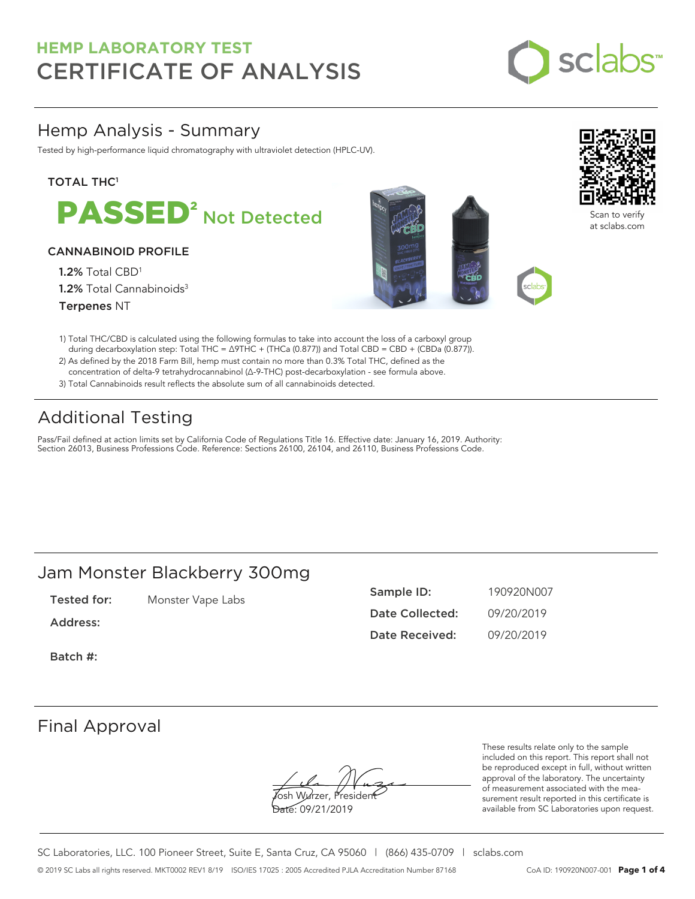

### Hemp Analysis - Summary

Tested by high-performance liquid chromatography with ultraviolet detection (HPLC-UV).

### **TOTAL THC1**



### CANNABINOID PROFILE

1.2% Total CBD<sup>1</sup> 1.2% Total Cannabinoids<sup>3</sup> Terpenes NT





Scan to verify at sclabs.com

- 1) Total THC/CBD is calculated using the following formulas to take into account the loss of a carboxyl group during decarboxylation step: Total THC = ∆9THC + (THCa (0.877)) and Total CBD = CBD + (CBDa (0.877)).
- 2) As defined by the 2018 Farm Bill, hemp must contain no more than 0.3% Total THC, defined as the concentration of delta-9 tetrahydrocannabinol (Δ-9-THC) post-decarboxylation - see formula above.
- 3) Total Cannabinoids result reflects the absolute sum of all cannabinoids detected.

## Additional Testing

Pass/Fail defined at action limits set by California Code of Regulations Title 16. Effective date: January 16, 2019. Authority: Section 26013, Business Professions Code. Reference: Sections 26100, 26104, and 26110, Business Professions Code.

### Jam Monster Blackberry 300mg

Tested for: Monster Vape Labs

Address:

Sample ID: 190920N007 Date Collected: 09/20/2019 Date Received: 09/20/2019

Batch #:

### Final Approval

**J**osh Wurzer, Presiden<del>t</del> Date: 09/21/2019

These results relate only to the sample included on this report. This report shall not be reproduced except in full, without written approval of the laboratory. The uncertainty of measurement associated with the measurement result reported in this certificate is available from SC Laboratories upon request.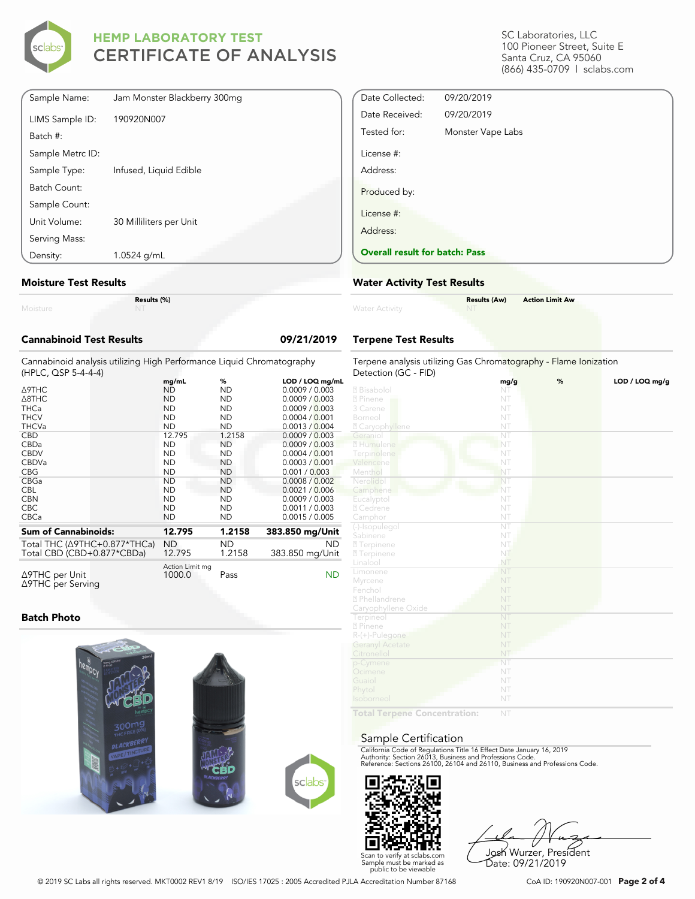

| Sample Name:     | Jam Monster Blackberry 300mg |
|------------------|------------------------------|
| LIMS Sample ID:  | 190920N007                   |
| Batch #:         |                              |
| Sample Metrc ID: |                              |
| Sample Type:     | Infused, Liquid Edible       |
| Batch Count:     |                              |
| Sample Count:    |                              |
| Unit Volume:     | 30 Milliliters per Unit      |
| Serving Mass:    |                              |
| Density:         | 1.0524 g/mL                  |

#### **Moisture Test Results**

|          | Res |
|----------|-----|
| Moisture |     |

**Results (%)**

| Cannabinoid Test Results                                                                     |                           |                     | 09/21/2019             |
|----------------------------------------------------------------------------------------------|---------------------------|---------------------|------------------------|
| Cannabinoid analysis utilizing High Performance Liguid Chromatography<br>(HPLC, QSP 5-4-4-4) |                           |                     |                        |
|                                                                                              | mg/mL                     | %                   | LOD / LOQ mg/mL        |
| ∆9ТНС                                                                                        | <b>ND</b>                 | <b>ND</b>           | 0.0009 / 0.003         |
| Д8ТНС                                                                                        | <b>ND</b>                 | <b>ND</b>           | 0.0009 / 0.003         |
| THCa                                                                                         | <b>ND</b>                 | <b>ND</b>           | 0.0009 / 0.003         |
| THCV                                                                                         | <b>ND</b>                 | <b>ND</b>           | 0.0004 / 0.001         |
| <b>THCVa</b>                                                                                 | <b>ND</b>                 | <b>ND</b>           | 0.0013 / 0.004         |
| <b>CBD</b>                                                                                   | 12.795                    | 1.2158              | 0.0009 / 0.003         |
| CBDa                                                                                         | <b>ND</b>                 | <b>ND</b>           | 0.0009 / 0.003         |
| <b>CBDV</b>                                                                                  | <b>ND</b>                 | <b>ND</b>           | 0.0004 / 0.001         |
| CBDVa                                                                                        | <b>ND</b>                 | <b>ND</b>           | 0.0003 / 0.001         |
| CBG                                                                                          | <b>ND</b>                 | <b>ND</b>           | 0.001 / 0.003          |
| CBGa                                                                                         | <b>ND</b>                 | <b>ND</b>           | 0.0008 / 0.002         |
| CBL                                                                                          | <b>ND</b>                 | <b>ND</b>           | 0.0021 / 0.006         |
| <b>CBN</b>                                                                                   | <b>ND</b>                 | <b>ND</b>           | 0.0009 / 0.003         |
| CBC                                                                                          | <b>ND</b>                 | <b>ND</b>           | 0.0011 / 0.003         |
| CBCa                                                                                         | <b>ND</b>                 | <b>ND</b>           | 0.0015 / 0.005         |
| Sum of Cannabinoids:                                                                         | 12.795                    | 1.2158              | 383.850 mg/Unit        |
| Total THC (∆9THC+0.877*THCa)<br>Total CBD (CBD+0.877*CBDa)                                   | <b>ND</b><br>12.795       | <b>ND</b><br>1.2158 | ND.<br>383.850 mg/Unit |
| ∆9THC per Unit<br>∆9THC per Serving                                                          | Action Limit mg<br>1000.0 | Pass                | <b>ND</b>              |

### **Batch Photo**



SC Laboratories, LLC 100 Pioneer Street, Suite E Santa Cruz, CA 95060 (866) 435-0709 | sclabs.com

| Date Collected:                       | 09/20/2019        |  |
|---------------------------------------|-------------------|--|
| Date Received:                        | 09/20/2019        |  |
| Tested for:                           | Monster Vape Labs |  |
| License #:                            |                   |  |
| Address:                              |                   |  |
| Produced by:                          |                   |  |
| License #:                            |                   |  |
| Address:                              |                   |  |
| <b>Overall result for batch: Pass</b> |                   |  |

#### **Water Activity Test Results**

| <b>Water Activity</b> | <b>Results (Aw)</b><br><b>NT</b> | <b>Action Limit Aw</b> |
|-----------------------|----------------------------------|------------------------|
|                       |                                  |                        |

### **Terpene Test Results**

| Terpene analysis utilizing Gas Chromatography - Flame Ionization<br>Detection (GC - FID) |                        |   |                |
|------------------------------------------------------------------------------------------|------------------------|---|----------------|
|                                                                                          | mg/g                   | % | LOD / LOQ mg/g |
| 2 Bisabolol                                                                              | NT                     |   |                |
| 2 Pinene                                                                                 | NT                     |   |                |
| 3 Carene                                                                                 | NT                     |   |                |
| Borneol                                                                                  | NT                     |   |                |
| <b>Z</b> Caryophyllene                                                                   | NT                     |   |                |
| Geraniol                                                                                 | NT                     |   |                |
| 2 Humulene                                                                               | NT                     |   |                |
| Terpinolene                                                                              | NT                     |   |                |
| Valencene                                                                                | NT                     |   |                |
| Menthol                                                                                  | NT                     |   |                |
| Nerolidol                                                                                | NT                     |   |                |
| Camphene                                                                                 | NT                     |   |                |
| Eucalyptol                                                                               | NT                     |   |                |
| 2 Cedrene                                                                                | NT                     |   |                |
| Camphor                                                                                  | NT                     |   |                |
| (-)-Isopulegol                                                                           | $\overline{\text{NT}}$ |   |                |
| Sabinene                                                                                 | NT                     |   |                |
| <b>27</b> Terpinene                                                                      | NT.                    |   |                |
| <b>27 Terpinene</b>                                                                      | NT                     |   |                |
| Linalool                                                                                 | NT                     |   |                |
| Limonene                                                                                 | NT                     |   |                |
| Myrcene                                                                                  | NT                     |   |                |
| Fenchol                                                                                  | NT                     |   |                |
| <sup>2</sup> Phellandrene                                                                | NT                     |   |                |
| Caryophyllene Oxide                                                                      | NT                     |   |                |
| Terpineol                                                                                | NT                     |   |                |
| 2 Pinene                                                                                 | NT                     |   |                |
| R-(+)-Pulegone                                                                           | NT                     |   |                |
| <b>Geranyl Acetate</b>                                                                   | NT                     |   |                |
| Citronellol                                                                              | NT                     |   |                |
| p-Cymene                                                                                 | NT                     |   |                |
| Ocimene                                                                                  | NT                     |   |                |
| Guaiol                                                                                   | NT                     |   |                |
| Phytol                                                                                   | NT                     |   |                |
| Isoborneol                                                                               | NT                     |   |                |
|                                                                                          |                        |   |                |
| Total Tarnana Concentration:                                                             | NIT                    |   |                |

**Total Terpene Concentration:**

#### Sample Certification

California Code of Regulations Title 16 Effect Date January 16, 2019<br>Authority: Section 26013, Business and Professions Code.<br>Reference: Sections 26100, 26104 and 26110, Business and Professions Code.



Josh Wurzer, President Date: 09/21/2019

© 2019 SC Labs all rights reserved. MKT0002 REV1 8/19 ISO/IES 17025 : 2005 Accredited PJLA Accreditation Number 87168 CoA ID: 190920N007-001 **Page 2 of 4**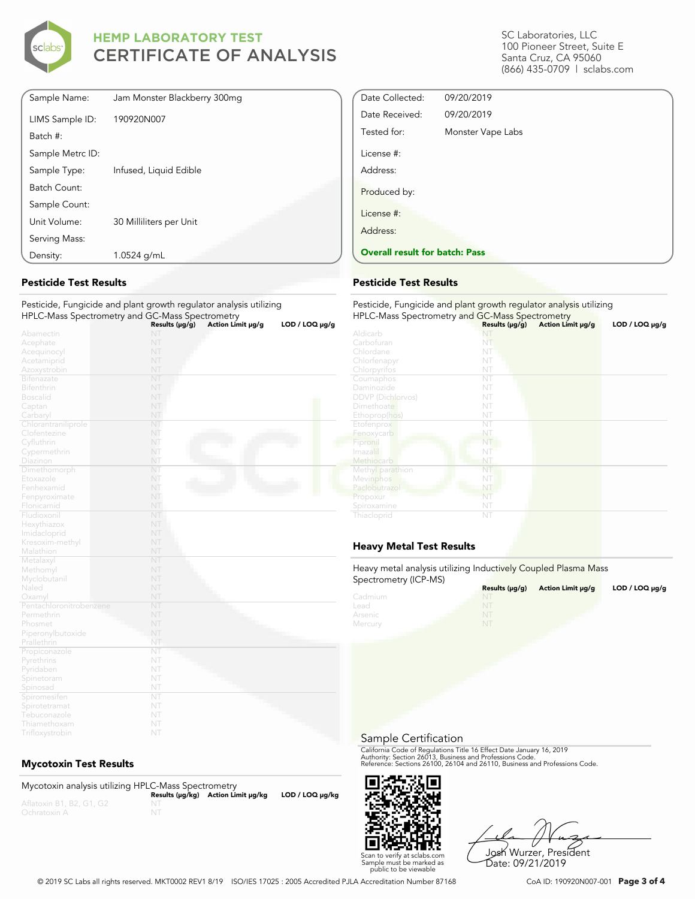

| Density:         | 1.0524 g/mL                  |
|------------------|------------------------------|
| Serving Mass:    |                              |
| Unit Volume:     | 30 Milliliters per Unit      |
| Sample Count:    |                              |
| Batch Count:     |                              |
| Sample Type:     | Infused, Liquid Edible       |
| Sample Metrc ID: |                              |
| Batch #:         |                              |
| LIMS Sample ID:  | 190920N007                   |
| Sample Name:     | Jam Monster Blackberry 300mg |

### **Pesticide Test Results**

#### Pesticide, Fungicide and plant growth regulator analysis utilizing HPLC-Mass Spectrometry and GC-Mass Spectrometry

|                         | Results (µg/g) | Action Limit µg/g | $LOD / LOQ \mu g/g$ |
|-------------------------|----------------|-------------------|---------------------|
| Abamectin               | NT             |                   |                     |
| Acephate                | NT             |                   |                     |
| Acequinocyl             | NT             |                   |                     |
| Acetamiprid             | NT             |                   |                     |
| Azoxystrobin            | NT             |                   |                     |
| Bifenazate              | NT             |                   |                     |
| Bifenthrin              | NT             |                   |                     |
| <b>Boscalid</b>         | NT             |                   |                     |
| Captan                  | NT             |                   |                     |
| Carbaryl                | NT             |                   |                     |
| Chlorantraniliprole     | NT             |                   |                     |
| Clofentezine            | NT             |                   |                     |
| Cyfluthrin              | NT             |                   |                     |
| Cypermethrin            | NT             |                   |                     |
| Diazinon                | NT             |                   |                     |
| Dimethomorph            | NT             |                   |                     |
| Etoxazole               | NT             |                   |                     |
| Fenhexamid              | NT             |                   |                     |
| Fenpyroximate           | NT             |                   |                     |
| Flonicamid              | NT             |                   |                     |
| Fludioxonil             | NT             |                   |                     |
| Hexythiazox             | NT             |                   |                     |
| Imidacloprid            | NT             |                   |                     |
| Kresoxim-methyl         | NT             |                   |                     |
| Malathion               | NT             |                   |                     |
| Metalaxyl               | NT             |                   |                     |
| Methomyl                | NT             |                   |                     |
| Myclobutanil            | NT             |                   |                     |
| Naled                   | NT             |                   |                     |
| Oxamyl                  | NT             |                   |                     |
| Pentachloronitrobenzene | NT             |                   |                     |
| Permethrin              | NT             |                   |                     |
| Phosmet                 | NT             |                   |                     |
| Piperonylbutoxide       | NT             |                   |                     |
| Prallethrin             | NT             |                   |                     |
| Propiconazole           | NT             |                   |                     |
| Pyrethrins              | NT             |                   |                     |
| Pyridaben               | NT             |                   |                     |
| Spinetoram              | NT             |                   |                     |
| Spinosad                | NT             |                   |                     |
| Spiromesifen            | NT             |                   |                     |
| Spirotetramat           | NT             |                   |                     |
| Tebuconazole            | NT             |                   |                     |
| Thiamethoxam            | NT             |                   |                     |

### **Mycotoxin Test Results**

| Mycotoxin analysis utilizing HPLC-Mass Spectrometry |    |                                    |                      |
|-----------------------------------------------------|----|------------------------------------|----------------------|
|                                                     |    | Results (µq/kq) Action Limit µq/kq | $LOD / LOQ \mu g/kg$ |
| Aflatoxin B1, B2, G1, G2                            |    |                                    |                      |
| Ochratoxin A                                        | NT |                                    |                      |

SC Laboratories, LLC 100 Pioneer Street, Suite E Santa Cruz, CA 95060 (866) 435-0709 | sclabs.com

| Date Collected:                       | 09/20/2019        |  |
|---------------------------------------|-------------------|--|
| Date Received:                        | 09/20/2019        |  |
| Tested for:                           | Monster Vape Labs |  |
| License #:                            |                   |  |
| Address:                              |                   |  |
| Produced by:                          |                   |  |
| License #:                            |                   |  |
| Address:                              |                   |  |
| <b>Overall result for batch: Pass</b> |                   |  |

### **Pesticide Test Results**

| Pesticide, Fungicide and plant growth regulator analysis utilizing<br>HPLC-Mass Spectrometry and GC-Mass Spectrometry |                     |                   |                     |  |
|-----------------------------------------------------------------------------------------------------------------------|---------------------|-------------------|---------------------|--|
|                                                                                                                       | Results $(\mu g/g)$ | Action Limit µg/g | $LOD / LOQ \mu g/g$ |  |
| Aldicarb                                                                                                              | NI                  |                   |                     |  |
| Carbofuran                                                                                                            | NT                  |                   |                     |  |
| Chlordane                                                                                                             | NT                  |                   |                     |  |
| Chlorfenapyr                                                                                                          | NT                  |                   |                     |  |
| Chlorpyrifos                                                                                                          | NT                  |                   |                     |  |
| Coumaphos                                                                                                             | NT                  |                   |                     |  |
| Daminozide                                                                                                            | NT                  |                   |                     |  |
| <b>DDVP</b> (Dichlorvos)                                                                                              | NT                  |                   |                     |  |
| Dimethoate                                                                                                            | NT                  |                   |                     |  |
| Ethoprop(hos)                                                                                                         | NT                  |                   |                     |  |
| Etofenprox                                                                                                            | NT                  |                   |                     |  |
| Fenoxycarb                                                                                                            | NT                  |                   |                     |  |
| Fipronil                                                                                                              | NT                  |                   |                     |  |
| Imazalil                                                                                                              | NT                  |                   |                     |  |
| Methiocarb                                                                                                            | NT                  |                   |                     |  |
| Methyl parathion                                                                                                      | NT                  |                   |                     |  |
| Mevinphos                                                                                                             | NT                  |                   |                     |  |
| Paclobutrazol                                                                                                         | NT                  |                   |                     |  |
| Propoxur                                                                                                              | NT                  |                   |                     |  |
| Spiroxamine                                                                                                           | NT                  |                   |                     |  |
| Thiacloprid                                                                                                           | NT                  |                   |                     |  |

### **Heavy Metal Test Results**

Heavy metal analysis utilizing Inductively Coupled Plasma Mass Spectrometry (ICP-MS)

| <b>ODCCHOTILELY (IOT -IVIO)</b> | Results $(\mu g/g)$ | Action Limit µq/q | LOD / LOQ $\mu$ g/g |
|---------------------------------|---------------------|-------------------|---------------------|
| Cadmium                         | NT                  |                   |                     |
| Lead                            |                     |                   |                     |
| Arsenic                         | NT                  |                   |                     |
| Mercury                         | NT                  |                   |                     |

Sample Certification

California Code of Regulations Title 16 Effect Date January 16, 2019<br>Authority: Section 26013, Business and Professions Code.<br>Reference: Sections 26100, 26104 and 26110, Business and Professions Code.



Josh Wurzer, President Date: 09/21/2019

© 2019 SC Labs all rights reserved. MKT0002 REV1 8/19 ISO/IES 17025 : 2005 Accredited PJLA Accreditation Number 87168 CoA ID: 190920N007-001 **Page 3 of 4**